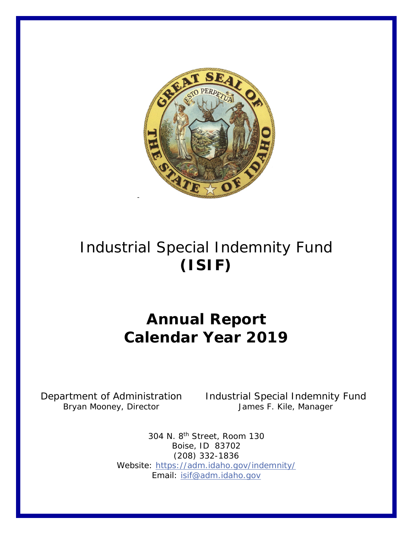

# Industrial Special Indemnity Fund **(ISIF)**

## **Annual Report Calendar Year 2019**

Bryan Mooney, Director

Department of Administration Industrial Special Indemnity Fund<br>Bryan Mooney, Director James F. Kile, Manager

304 N. 8th Street, Room 130 Boise, ID 83702 (208) 332-1836 Website:<https://adm.idaho.gov/indemnity/> Email: [isif@adm.idaho.gov](mailto:isif@adm.idaho.gov)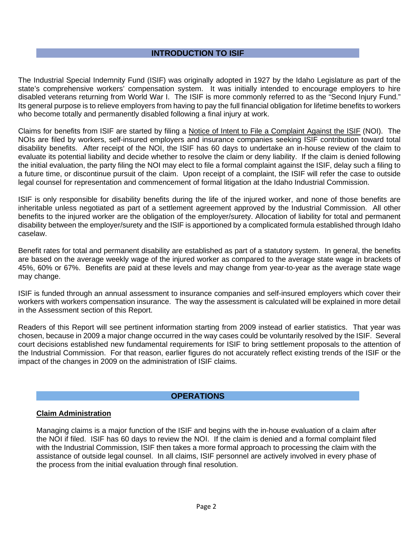## **INTRODUCTION TO ISIF**

The Industrial Special Indemnity Fund (ISIF) was originally adopted in 1927 by the Idaho Legislature as part of the state's comprehensive workers' compensation system. It was initially intended to encourage employers to hire disabled veterans returning from World War I. The ISIF is more commonly referred to as the "Second Injury Fund." Its general purpose is to relieve employers from having to pay the full financial obligation for lifetime benefits to workers who become totally and permanently disabled following a final injury at work.

Claims for benefits from ISIF are started by filing a Notice of Intent to File a Complaint Against the ISIF (NOI). The NOIs are filed by workers, self-insured employers and insurance companies seeking ISIF contribution toward total disability benefits. After receipt of the NOI, the ISIF has 60 days to undertake an in-house review of the claim to evaluate its potential liability and decide whether to resolve the claim or deny liability. If the claim is denied following the initial evaluation, the party filing the NOI may elect to file a formal complaint against the ISIF, delay such a filing to a future time, or discontinue pursuit of the claim. Upon receipt of a complaint, the ISIF will refer the case to outside legal counsel for representation and commencement of formal litigation at the Idaho Industrial Commission.

ISIF is only responsible for disability benefits during the life of the injured worker, and none of those benefits are inheritable unless negotiated as part of a settlement agreement approved by the Industrial Commission. All other benefits to the injured worker are the obligation of the employer/surety. Allocation of liability for total and permanent disability between the employer/surety and the ISIF is apportioned by a complicated formula established through Idaho caselaw.

Benefit rates for total and permanent disability are established as part of a statutory system. In general, the benefits are based on the average weekly wage of the injured worker as compared to the average state wage in brackets of 45%, 60% or 67%. Benefits are paid at these levels and may change from year-to-year as the average state wage may change.

ISIF is funded through an annual assessment to insurance companies and self-insured employers which cover their workers with workers compensation insurance. The way the assessment is calculated will be explained in more detail in the Assessment section of this Report.

Readers of this Report will see pertinent information starting from 2009 instead of earlier statistics. That year was chosen, because in 2009 a major change occurred in the way cases could be voluntarily resolved by the ISIF. Several court decisions established new fundamental requirements for ISIF to bring settlement proposals to the attention of the Industrial Commission. For that reason, earlier figures do not accurately reflect existing trends of the ISIF or the impact of the changes in 2009 on the administration of ISIF claims.

## **OPERATIONS**

## **Claim Administration**

Managing claims is a major function of the ISIF and begins with the in-house evaluation of a claim after the NOI if filed. ISIF has 60 days to review the NOI. If the claim is denied and a formal complaint filed with the Industrial Commission, ISIF then takes a more formal approach to processing the claim with the assistance of outside legal counsel. In all claims, ISIF personnel are actively involved in every phase of the process from the initial evaluation through final resolution.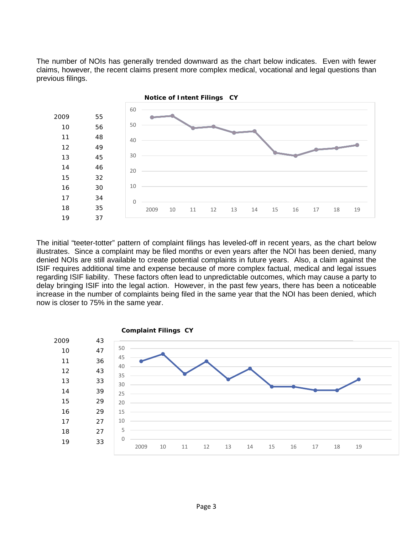The number of NOIs has generally trended downward as the chart below indicates. Even with fewer claims, however, the recent claims present more complex medical, vocational and legal questions than previous filings.



The initial "teeter-totter" pattern of complaint filings has leveled-off in recent years, as the chart below illustrates. Since a complaint may be filed months or even years after the NOI has been denied, many denied NOIs are still available to create potential complaints in future years. Also, a claim against the ISIF requires additional time and expense because of more complex factual, medical and legal issues regarding ISIF liability. These factors often lead to unpredictable outcomes, which may cause a party to delay bringing ISIF into the legal action. However, in the past few years, there has been a noticeable increase in the number of complaints being filed in the same year that the NOI has been denied, which now is closer to 75% in the same year.

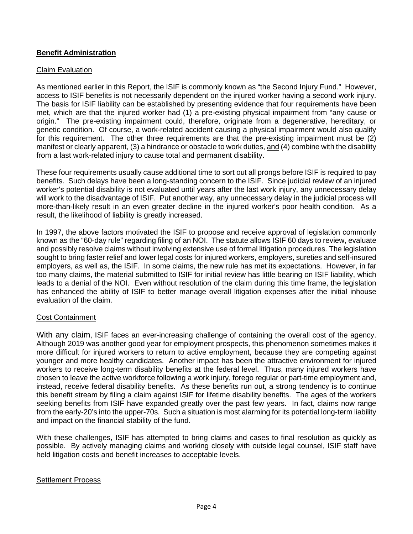## **Benefit Administration**

### Claim Evaluation

As mentioned earlier in this Report, the ISIF is commonly known as "the Second Injury Fund." However, access to ISIF benefits is not necessarily dependent on the injured worker having a second work injury. The basis for ISIF liability can be established by presenting evidence that four requirements have been met, which are that the injured worker had (1) a pre-existing physical impairment from "any cause or origin." The pre-existing impairment could, therefore, originate from a degenerative, hereditary, or genetic condition. Of course, a work-related accident causing a physical impairment would also qualify for this requirement. The other three requirements are that the pre-existing impairment must be (2) manifest or clearly apparent, (3) a hindrance or obstacle to work duties, and (4) combine with the disability from a last work-related injury to cause total and permanent disability.

These four requirements usually cause additional time to sort out all prongs before ISIF is required to pay benefits. Such delays have been a long-standing concern to the ISIF. Since judicial review of an injured worker's potential disability is not evaluated until years after the last work injury, any unnecessary delay will work to the disadvantage of ISIF. Put another way, any unnecessary delay in the judicial process will more-than-likely result in an even greater decline in the injured worker's poor health condition. As a result, the likelihood of liability is greatly increased.

In 1997, the above factors motivated the ISIF to propose and receive approval of legislation commonly known as the "60-day rule" regarding filing of an NOI. The statute allows ISIF 60 days to review, evaluate and possibly resolve claims without involving extensive use of formal litigation procedures. The legislation sought to bring faster relief and lower legal costs for injured workers, employers, sureties and self-insured employers, as well as, the ISIF. In some claims, the new rule has met its expectations. However, in far too many claims, the material submitted to ISIF for initial review has little bearing on ISIF liability, which leads to a denial of the NOI. Even without resolution of the claim during this time frame, the legislation has enhanced the ability of ISIF to better manage overall litigation expenses after the initial inhouse evaluation of the claim.

#### Cost Containment

With any claim, ISIF faces an ever-increasing challenge of containing the overall cost of the agency. Although 2019 was another good year for employment prospects, this phenomenon sometimes makes it more difficult for injured workers to return to active employment, because they are competing against younger and more healthy candidates. Another impact has been the attractive environment for injured workers to receive long-term disability benefits at the federal level. Thus, many injured workers have chosen to leave the active workforce following a work injury, forego regular or part-time employment and, instead, receive federal disability benefits. As these benefits run out, a strong tendency is to continue this benefit stream by filing a claim against ISIF for lifetime disability benefits. The ages of the workers seeking benefits from ISIF have expanded greatly over the past few years. In fact, claims now range from the early-20's into the upper-70s. Such a situation is most alarming for its potential long-term liability and impact on the financial stability of the fund.

With these challenges, ISIF has attempted to bring claims and cases to final resolution as quickly as possible. By actively managing claims and working closely with outside legal counsel, ISIF staff have held litigation costs and benefit increases to acceptable levels.

#### Settlement Process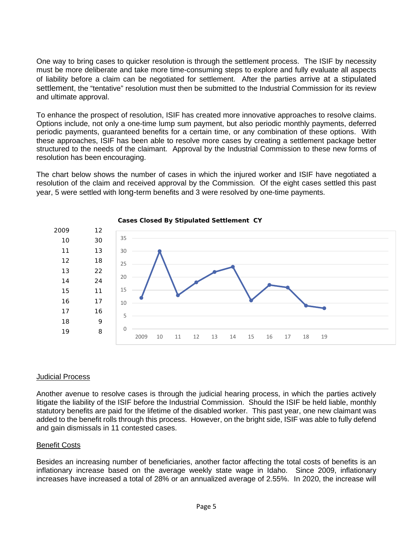One way to bring cases to quicker resolution is through the settlement process. The ISIF by necessity must be more deliberate and take more time-consuming steps to explore and fully evaluate all aspects of liability before a claim can be negotiated for settlement. After the parties arrive at a stipulated settlement, the "tentative" resolution must then be submitted to the Industrial Commission for its review and ultimate approval.

To enhance the prospect of resolution, ISIF has created more innovative approaches to resolve claims. Options include, not only a one-time lump sum payment, but also periodic monthly payments, deferred periodic payments, guaranteed benefits for a certain time, or any combination of these options. With these approaches, ISIF has been able to resolve more cases by creating a settlement package better structured to the needs of the claimant. Approval by the Industrial Commission to these new forms of resolution has been encouraging.

The chart below shows the number of cases in which the injured worker and ISIF have negotiated a resolution of the claim and received approval by the Commission. Of the eight cases settled this past year, 5 were settled with long-term benefits and 3 were resolved by one-time payments.





#### Judicial Process

Another avenue to resolve cases is through the judicial hearing process, in which the parties actively litigate the liability of the ISIF before the Industrial Commission. Should the ISIF be held liable, monthly statutory benefits are paid for the lifetime of the disabled worker. This past year, one new claimant was added to the benefit rolls through this process. However, on the bright side, ISIF was able to fully defend and gain dismissals in 11 contested cases.

#### Benefit Costs

Besides an increasing number of beneficiaries, another factor affecting the total costs of benefits is an inflationary increase based on the average weekly state wage in Idaho. Since 2009, inflationary increases have increased a total of 28% or an annualized average of 2.55%. In 2020, the increase will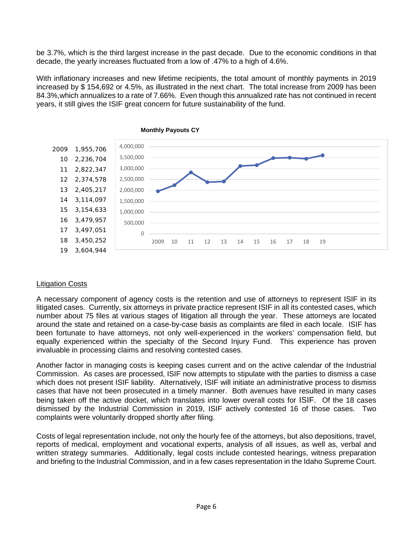be 3.7%, which is the third largest increase in the past decade. Due to the economic conditions in that decade, the yearly increases fluctuated from a low of .47% to a high of 4.6%.

With inflationary increases and new lifetime recipients, the total amount of monthly payments in 2019 increased by \$ 154,692 or 4.5%, as illustrated in the next chart. The total increase from 2009 has been 84.3%,which annualizes to a rate of 7.66%. Even though this annualized rate has not continued in recent years, it still gives the ISIF great concern for future sustainability of the fund.



## **Monthly Payouts CY**

## Litigation Costs

A necessary component of agency costs is the retention and use of attorneys to represent ISIF in its litigated cases. Currently, six attorneys in private practice represent ISIF in all its contested cases, which number about 75 files at various stages of litigation all through the year. These attorneys are located around the state and retained on a case-by-case basis as complaints are filed in each locale. ISIF has been fortunate to have attorneys, not only well-experienced in the workers' compensation field, but equally experienced within the specialty of the Second Injury Fund. This experience has proven invaluable in processing claims and resolving contested cases.

Another factor in managing costs is keeping cases current and on the active calendar of the Industrial Commission. As cases are processed, ISIF now attempts to stipulate with the parties to dismiss a case which does not present ISIF liability. Alternatively, ISIF will initiate an administrative process to dismiss cases that have not been prosecuted in a timely manner. Both avenues have resulted in many cases being taken off the active docket, which translates into lower overall costs for ISIF. Of the 18 cases dismissed by the Industrial Commission in 2019, ISIF actively contested 16 of those cases. Two complaints were voluntarily dropped shortly after filing.

Costs of legal representation include, not only the hourly fee of the attorneys, but also depositions, travel, reports of medical, employment and vocational experts, analysis of all issues, as well as, verbal and written strategy summaries. Additionally, legal costs include contested hearings, witness preparation and briefing to the Industrial Commission, and in a few cases representation in the Idaho Supreme Court.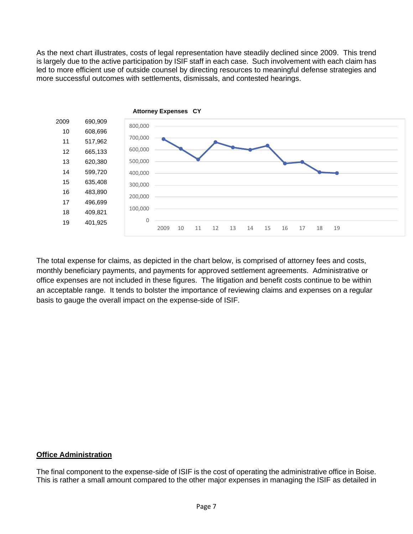As the next chart illustrates, costs of legal representation have steadily declined since 2009. This trend is largely due to the active participation by ISIF staff in each case. Such involvement with each claim has led to more efficient use of outside counsel by directing resources to meaningful defense strategies and more successful outcomes with settlements, dismissals, and contested hearings.



The total expense for claims, as depicted in the chart below, is comprised of attorney fees and costs, monthly beneficiary payments, and payments for approved settlement agreements. Administrative or office expenses are not included in these figures. The litigation and benefit costs continue to be within an acceptable range. It tends to bolster the importance of reviewing claims and expenses on a regular basis to gauge the overall impact on the expense-side of ISIF.

## **Office Administration**

The final component to the expense-side of ISIF is the cost of operating the administrative office in Boise. This is rather a small amount compared to the other major expenses in managing the ISIF as detailed in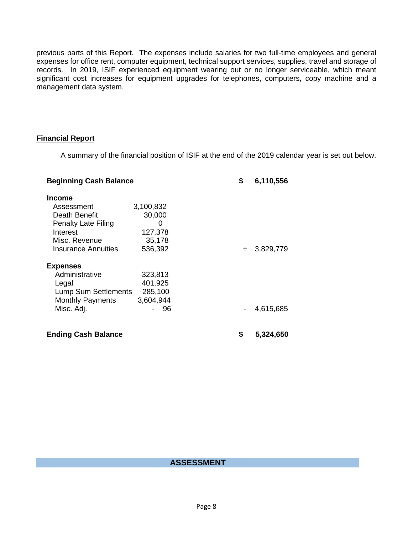previous parts of this Report. The expenses include salaries for two full-time employees and general expenses for office rent, computer equipment, technical support services, supplies, travel and storage of records. In 2019, ISIF experienced equipment wearing out or no longer serviceable, which meant significant cost increases for equipment upgrades for telephones, computers, copy machine and a management data system.

## **Financial Report**

A summary of the financial position of ISIF at the end of the 2019 calendar year is set out below.

| <b>Beginning Cash Balance</b> |           | \$  | 6,110,556 |
|-------------------------------|-----------|-----|-----------|
| <b>Income</b>                 |           |     |           |
| Assessment                    | 3,100,832 |     |           |
| Death Benefit                 | 30,000    |     |           |
| <b>Penalty Late Filing</b>    | O         |     |           |
| Interest                      | 127,378   |     |           |
| Misc. Revenue                 | 35,178    |     |           |
| Insurance Annuities           | 536,392   | $+$ | 3,829,779 |
| <b>Expenses</b>               |           |     |           |
| Administrative                | 323,813   |     |           |
| Legal                         | 401,925   |     |           |
| <b>Lump Sum Settlements</b>   | 285,100   |     |           |
| <b>Monthly Payments</b>       | 3,604,944 |     |           |
| Misc. Adj.                    | - 96      |     | 4,615,685 |
| <b>Ending Cash Balance</b>    |           | \$  | 5,324,650 |

## **ASSESSMENT**